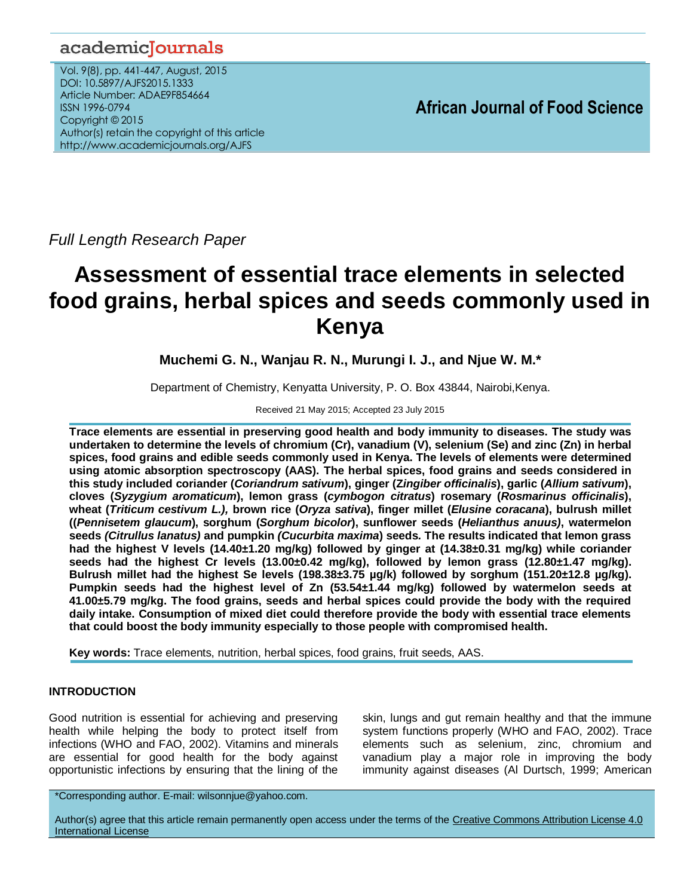## academicJournals

Vol. 9(8), pp. 441-447, August, 2015 DOI: 10.5897/AJFS2015.1333 Article Number: ADAE9F854664 ISSN 1996-0794 Copyright © 2015 Author(s) retain the copyright of this article http://www.academicjournals.org/AJFS

*Full Length Research Paper*

# **Assessment of essential trace elements in selected food grains, herbal spices and seeds commonly used in Kenya**

**Muchemi G. N., Wanjau R. N., Murungi I. J., and Njue W. M.\***

Department of Chemistry, Kenyatta University, P. O. Box 43844, Nairobi,Kenya.

Received 21 May 2015; Accepted 23 July 2015

**Trace elements are essential in preserving good health and body immunity to diseases. The study was undertaken to determine the levels of chromium (Cr), vanadium (V), selenium (Se) and zinc (Zn) in herbal spices, food grains and edible seeds commonly used in Kenya. The levels of elements were determined using atomic absorption spectroscopy (AAS). The herbal spices, food grains and seeds considered in this study included coriander (***Coriandrum sativum***), ginger (Z***ingiber officinalis***), garlic (***Allium sativum***), cloves (***Syzygium aromaticum***), lemon grass (***cymbogon citratus***) rosemary (***Rosmarinus officinalis***), wheat (***Triticum cestivum L.),* **brown rice (***Oryza sativa***), finger millet (***Elusine coracana***), bulrush millet ((***Pennisetem glaucum***), sorghum (***Sorghum bicolor***), sunflower seeds (***Helianthus anuus)***, watermelon seeds** *(Citrullus lanatus)* **and pumpkin** *(Cucurbita maxima***) seeds***.* **The results indicated that lemon grass had the highest V levels (14.40±1.20 mg/kg) followed by ginger at (14.38±0.31 mg/kg) while coriander seeds had the highest Cr levels (13.00±0.42 mg/kg), followed by lemon grass (12.80±1.47 mg/kg). Bulrush millet had the highest Se levels (198.38±3.75 µg/k) followed by sorghum (151.20±12.8 µg/kg). Pumpkin seeds had the highest level of Zn (53.54±1.44 mg/kg) followed by watermelon seeds at 41.00±5.79 mg/kg. The food grains, seeds and herbal spices could provide the body with the required daily intake. Consumption of mixed diet could therefore provide the body with essential trace elements that could boost the body immunity especially to those people with compromised health.**

**Key words:** Trace elements, nutrition, herbal spices, food grains, fruit seeds, AAS.

## **INTRODUCTION**

Good nutrition is essential for achieving and preserving health while helping the body to protect itself from infections (WHO and FAO, 2002). Vitamins and minerals are essential for good health for the body against opportunistic infections by ensuring that the lining of the skin, lungs and gut remain healthy and that the immune system functions properly (WHO and FAO, 2002). Trace elements such as selenium, zinc, chromium and vanadium play a major role in improving the body immunity against diseases (Al Durtsch, 1999; American

\*Corresponding author. E-mail: wilsonnjue@yahoo.com.

Author(s) agree that this article remain permanently open access under the terms of the Creative Commons Attribution License 4.0 [International License](http://creativecommons.org/licenses/by/4.0/deed.en_US)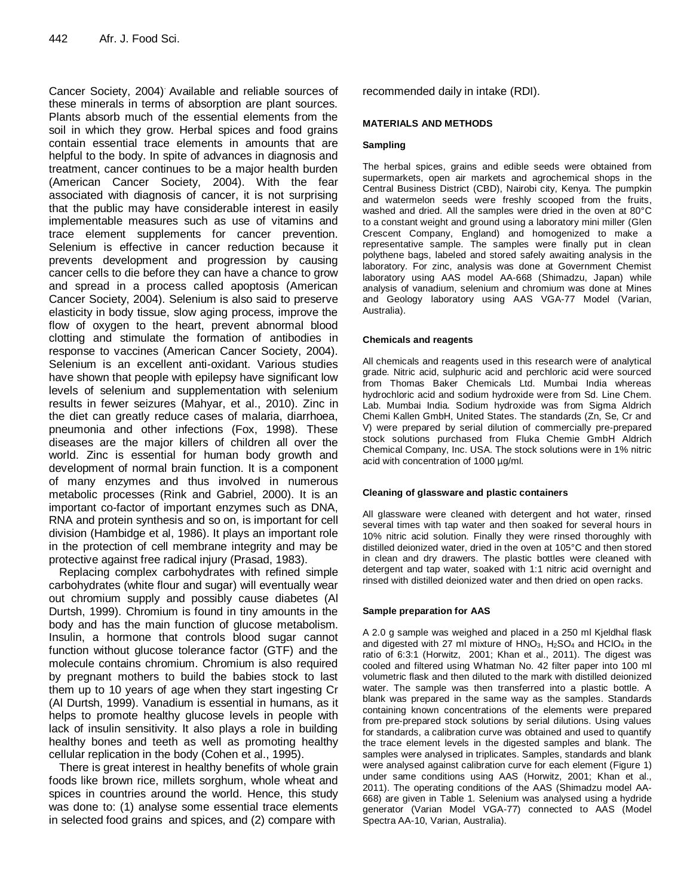Cancer Society, 2004). Available and reliable sources of these minerals in terms of absorption are plant sources. Plants absorb much of the essential elements from the soil in which they grow. Herbal spices and food grains contain essential trace elements in amounts that are helpful to the body. In spite of advances in diagnosis and treatment, cancer continues to be a major health burden (American Cancer Society, 2004). With the fear associated with diagnosis of cancer, it is not surprising that the public may have considerable interest in easily implementable measures such as use of vitamins and trace element supplements for cancer prevention. Selenium is effective in cancer reduction because it prevents development and progression by causing cancer cells to die before they can have a chance to grow and spread in a process called apoptosis (American Cancer Society, 2004). Selenium is also said to preserve elasticity in body tissue, slow aging process, improve the flow of oxygen to the heart, prevent abnormal blood clotting and stimulate the formation of antibodies in response to vaccines (American Cancer Society, 2004). Selenium is an excellent anti-oxidant. Various studies have shown that people with epilepsy have significant low levels of selenium and supplementation with selenium results in fewer seizures (Mahyar, et al., 2010). Zinc in the diet can greatly reduce cases of malaria, diarrhoea, pneumonia and other infections (Fox, 1998). These diseases are the major killers of children all over the world. Zinc is essential for human body growth and development of normal brain function. It is a component of many enzymes and thus involved in numerous metabolic processes (Rink and Gabriel, 2000). It is an important co-factor of important enzymes such as DNA, RNA and protein synthesis and so on, is important for cell division (Hambidge et al, 1986). It plays an important role in the protection of cell membrane integrity and may be protective against free radical injury (Prasad, 1983).

Replacing complex carbohydrates with refined simple carbohydrates (white flour and sugar) will eventually wear out chromium supply and possibly cause diabetes (Al Durtsh, 1999). Chromium is found in tiny amounts in the body and has the main function of glucose metabolism. Insulin, a hormone that controls blood sugar cannot function without glucose tolerance factor (GTF) and the molecule contains chromium. Chromium is also required by pregnant mothers to build the babies stock to last them up to 10 years of age when they start ingesting Cr (Al Durtsh, 1999). Vanadium is essential in humans, as it helps to promote healthy glucose levels in people with lack of insulin sensitivity. It also plays a role in building healthy bones and teeth as well as promoting healthy cellular replication in the body (Cohen et al., 1995).

There is great interest in healthy benefits of whole grain foods like brown rice, millets sorghum, whole wheat and spices in countries around the world. Hence, this study was done to: (1) analyse some essential trace elements in selected food grains and spices, and (2) compare with

recommended daily in intake (RDI).

#### **MATERIALS AND METHODS**

#### **Sampling**

The herbal spices, grains and edible seeds were obtained from supermarkets, open air markets and agrochemical shops in the Central Business District (CBD), Nairobi city, Kenya. The pumpkin and watermelon seeds were freshly scooped from the fruits, washed and dried. All the samples were dried in the oven at 80°C to a constant weight and ground using a laboratory mini miller (Glen Crescent Company, England) and homogenized to make a representative sample. The samples were finally put in clean polythene bags, labeled and stored safely awaiting analysis in the laboratory. For zinc, analysis was done at Government Chemist laboratory using AAS model AA-668 (Shimadzu, Japan) while analysis of vanadium, selenium and chromium was done at Mines and Geology laboratory using AAS VGA-77 Model (Varian, Australia).

#### **Chemicals and reagents**

All chemicals and reagents used in this research were of analytical grade. Nitric acid, sulphuric acid and perchloric acid were sourced from Thomas Baker Chemicals Ltd. Mumbai India whereas hydrochloric acid and sodium hydroxide were from Sd. Line Chem. Lab. Mumbai India. Sodium hydroxide was from Sigma Aldrich Chemi Kallen GmbH, United States. The standards (Zn, Se, Cr and V) were prepared by serial dilution of commercially pre-prepared stock solutions purchased from Fluka Chemie GmbH Aldrich Chemical Company, Inc. USA. The stock solutions were in 1% nitric acid with concentration of 1000 µg/ml.

#### **Cleaning of glassware and plastic containers**

All glassware were cleaned with detergent and hot water, rinsed several times with tap water and then soaked for several hours in 10% nitric acid solution. Finally they were rinsed thoroughly with distilled deionized water, dried in the oven at 105°C and then stored in clean and dry drawers. The plastic bottles were cleaned with detergent and tap water, soaked with 1:1 nitric acid overnight and rinsed with distilled deionized water and then dried on open racks.

#### **Sample preparation for AAS**

A 2.0 g sample was weighed and placed in a 250 ml Kjeldhal flask and digested with 27 ml mixture of  $HNO<sub>3</sub>$ , H<sub>2</sub>SO<sub>4</sub> and  $HClO<sub>4</sub>$  in the ratio of 6:3:1 (Horwitz, 2001; Khan et al., 2011). The digest was cooled and filtered using Whatman No. 42 filter paper into 100 ml volumetric flask and then diluted to the mark with distilled deionized water. The sample was then transferred into a plastic bottle. A blank was prepared in the same way as the samples. Standards containing known concentrations of the elements were prepared from pre-prepared stock solutions by serial dilutions. Using values for standards, a calibration curve was obtained and used to quantify the trace element levels in the digested samples and blank. The samples were analysed in triplicates. Samples, standards and blank were analysed against calibration curve for each element (Figure 1) under same conditions using AAS (Horwitz, 2001; Khan et al., 2011). The operating conditions of the AAS (Shimadzu model AA-668) are given in Table 1. Selenium was analysed using a hydride generator (Varian Model VGA-77) connected to AAS (Model Spectra AA-10, Varian, Australia).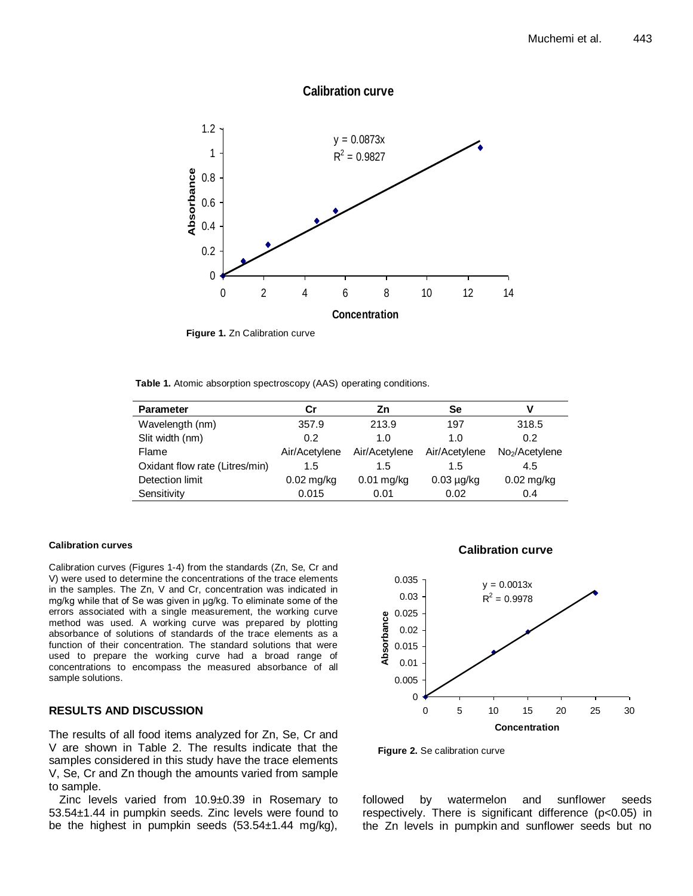



**Figure 1.** Zn Calibration curve

**Table 1.** Atomic absorption spectroscopy (AAS) operating conditions.

| <b>Parameter</b>               | Cr            | Zn            | Se              | v                          |
|--------------------------------|---------------|---------------|-----------------|----------------------------|
| Wavelength (nm)                | 357.9         | 213.9         | 197             | 318.5                      |
| Slit width (nm)                | 0.2           | 1.0           | 1.0             | 0.2                        |
| Flame                          | Air/Acetylene | Air/Acetylene | Air/Acetylene   | No <sub>2</sub> /Acetylene |
| Oxidant flow rate (Litres/min) | 1.5           | 1.5           | 1.5             | 4.5                        |
| Detection limit                | $0.02$ mg/kg  | $0.01$ mg/kg  | $0.03 \mu g/kg$ | $0.02$ mg/kg               |
| Sensitivity                    | 0.015         | 0.01          | 0.02            | 0.4                        |

#### **Calibration curves**

Calibration curves (Figures 1-4) from the standards (Zn, Se, Cr and V) were used to determine the concentrations of the trace elements in the samples. The Zn, V and Cr, concentration was indicated in mg/kg while that of Se was given in μg/kg. To eliminate some of the errors associated with a single measurement, the working curve method was used. A working curve was prepared by plotting absorbance of solutions of standards of the trace elements as a function of their concentration. The standard solutions that were used to prepare the working curve had a broad range of concentrations to encompass the measured absorbance of all sample solutions.

## **RESULTS AND DISCUSSION**

The results of all food items analyzed for Zn, Se, Cr and V are shown in Table 2. The results indicate that the samples considered in this study have the trace elements V, Se, Cr and Zn though the amounts varied from sample to sample.

Zinc levels varied from 10.9±0.39 in Rosemary to 53.54±1.44 in pumpkin seeds. Zinc levels were found to be the highest in pumpkin seeds (53.54±1.44 mg/kg),

**Calibration curve**



**Figure 2.** Se calibration curve

followed by watermelon and sunflower seeds respectively. There is significant difference (p<0.05) in the Zn levels in pumpkin and sunflower seeds but no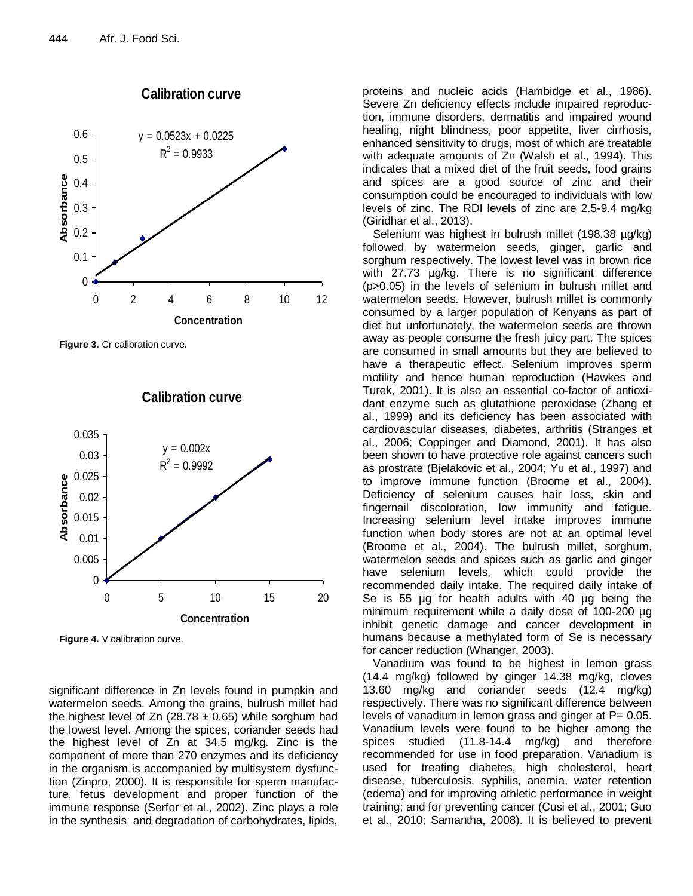

**Figure 3.** Cr calibration curve.



**Calibration curve**

**Figure 4.** V calibration curve.

significant difference in Zn levels found in pumpkin and watermelon seeds. Among the grains, bulrush millet had the highest level of Zn (28.78  $\pm$  0.65) while sorghum had the lowest level. Among the spices, coriander seeds had the highest level of Zn at 34.5 mg/kg. Zinc is the component of more than 270 enzymes and its deficiency in the organism is accompanied by multisystem dysfunction (Zinpro, 2000). It is responsible for sperm manufacture, fetus development and proper function of the immune response (Serfor et al., 2002). Zinc plays a role in the synthesis and degradation of carbohydrates, lipids,

proteins and nucleic acids (Hambidge et al., 1986). Severe Zn deficiency effects include impaired reproduction, immune disorders, dermatitis and impaired wound healing, night blindness, poor appetite, liver cirrhosis, enhanced sensitivity to drugs, most of which are treatable with adequate amounts of Zn (Walsh et al., 1994). This indicates that a mixed diet of the fruit seeds, food grains and spices are a good source of zinc and their consumption could be encouraged to individuals with low levels of zinc. The RDI levels of zinc are 2.5-9.4 mg/kg (Giridhar et al., 2013).

Selenium was highest in bulrush millet (198.38 µg/kg) followed by watermelon seeds, ginger, garlic and sorghum respectively. The lowest level was in brown rice with 27.73 µg/kg. There is no significant difference (p>0.05) in the levels of selenium in bulrush millet and watermelon seeds. However, bulrush millet is commonly consumed by a larger population of Kenyans as part of diet but unfortunately, the watermelon seeds are thrown away as people consume the fresh juicy part. The spices are consumed in small amounts but they are believed to have a therapeutic effect. Selenium improves sperm motility and hence human reproduction (Hawkes and Turek, 2001). It is also an essential co-factor of antioxidant enzyme such as glutathione peroxidase (Zhang et al., 1999) and its deficiency has been associated with cardiovascular diseases, diabetes, arthritis (Stranges et al., 2006; Coppinger and Diamond, 2001). It has also been shown to have protective role against cancers such as prostrate (Bjelakovic et al., 2004; Yu et al., 1997) and to improve immune function (Broome et al., 2004). Deficiency of selenium causes hair loss, skin and fingernail discoloration, low immunity and fatigue. Increasing selenium level intake improves immune function when body stores are not at an optimal level (Broome et al., 2004). The bulrush millet, sorghum, watermelon seeds and spices such as garlic and ginger have selenium levels, which could provide the recommended daily intake. The required daily intake of Se is 55 µg for health adults with 40 µg being the minimum requirement while a daily dose of 100-200 µg inhibit genetic damage and cancer development in humans because a methylated form of Se is necessary for cancer reduction (Whanger, 2003).

Vanadium was found to be highest in lemon grass (14.4 mg/kg) followed by ginger 14.38 mg/kg, cloves 13.60 mg/kg and coriander seeds (12.4 mg/kg) respectively. There was no significant difference between levels of vanadium in lemon grass and ginger at  $P= 0.05$ . Vanadium levels were found to be higher among the spices studied (11.8-14.4 mg/kg) and therefore recommended for use in food preparation. Vanadium is used for treating diabetes, high cholesterol, heart disease, tuberculosis, syphilis, anemia, water retention (edema) and for improving athletic performance in weight training; and for preventing cancer (Cusi et al., 2001; Guo et al., 2010; Samantha, 2008). It is believed to prevent

## **Calibration curve**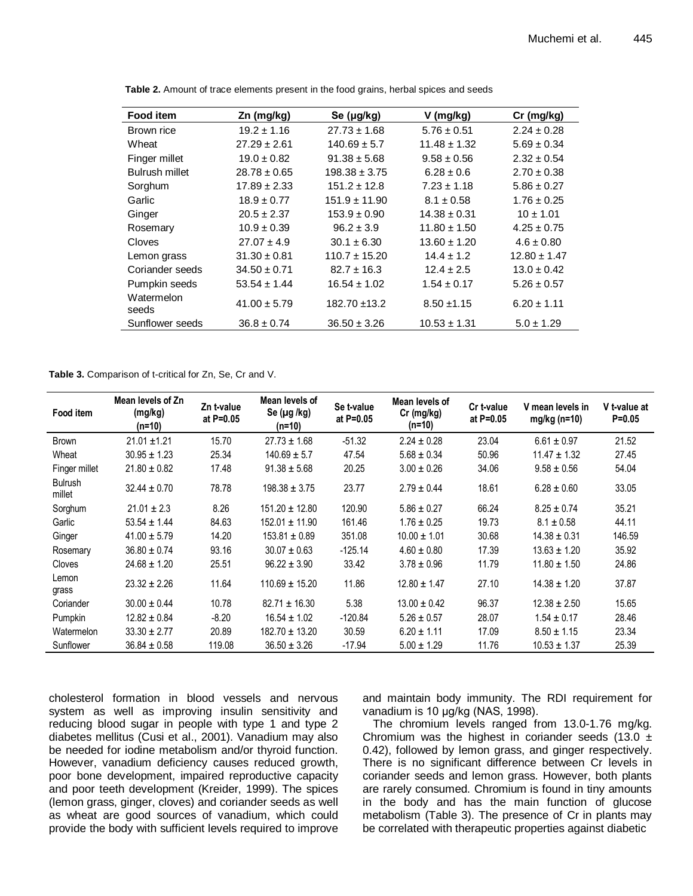| <b>Food item</b>      | Zn (mg/kg)       | Se (µg/kg)        | V (mg/kg)        | Cr (mg/kg)       |
|-----------------------|------------------|-------------------|------------------|------------------|
| Brown rice            | $19.2 \pm 1.16$  | $27.73 \pm 1.68$  | $5.76 \pm 0.51$  | $2.24 \pm 0.28$  |
| Wheat                 | $27.29 \pm 2.61$ | $140.69 \pm 5.7$  | $11.48 \pm 1.32$ | $5.69 \pm 0.34$  |
| Finger millet         | $19.0 \pm 0.82$  | $91.38 \pm 5.68$  | $9.58 \pm 0.56$  | $2.32 \pm 0.54$  |
| <b>Bulrush millet</b> | $28.78 \pm 0.65$ | $198.38 \pm 3.75$ | $6.28 \pm 0.6$   | $2.70 \pm 0.38$  |
| Sorghum               | $17.89 \pm 2.33$ | $151.2 \pm 12.8$  | $7.23 \pm 1.18$  | $5.86 \pm 0.27$  |
| Garlic                | $18.9 \pm 0.77$  | $151.9 \pm 11.90$ | $8.1 \pm 0.58$   | $1.76 \pm 0.25$  |
| Ginger                | $20.5 \pm 2.37$  | $153.9 \pm 0.90$  | $14.38 \pm 0.31$ | $10 \pm 1.01$    |
| Rosemary              | $10.9 \pm 0.39$  | $96.2 \pm 3.9$    | $11.80 \pm 1.50$ | $4.25 \pm 0.75$  |
| <b>Cloves</b>         | $27.07 \pm 4.9$  | $30.1 \pm 6.30$   | $13.60 \pm 1.20$ | $4.6 \pm 0.80$   |
| Lemon grass           | $31.30 \pm 0.81$ | $110.7 \pm 15.20$ | $14.4 \pm 1.2$   | $12.80 \pm 1.47$ |
| Coriander seeds       | $34.50 \pm 0.71$ | $82.7 \pm 16.3$   | $12.4 \pm 2.5$   | $13.0 \pm 0.42$  |
| Pumpkin seeds         | $53.54 \pm 1.44$ | $16.54 \pm 1.02$  | $1.54 \pm 0.17$  | $5.26 \pm 0.57$  |
| Watermelon<br>seeds   | $41.00 \pm 5.79$ | 182.70 ±13.2      | $8.50 + 1.15$    | $6.20 \pm 1.11$  |
| Sunflower seeds       | $36.8 \pm 0.74$  | $36.50 \pm 3.26$  | $10.53 \pm 1.31$ | $5.0 \pm 1.29$   |

**Table 2.** Amount of trace elements present in the food grains, herbal spices and seeds

**Table 3.** Comparison of t-critical for Zn, Se, Cr and V.

| Food item         | Mean levels of Zn<br>(mg/kg)<br>$(n=10)$ | Zn t-value<br>at P=0.05 | Mean levels of<br>Se $(\mu g / kg)$<br>$(n=10)$ | Se t-value<br>at $P=0.05$ | Mean levels of<br>Cr (mg/kg)<br>$(n=10)$ | Cr t-value<br>at P=0.05 | V mean levels in<br>mg/kg ( $n=10$ ) | V t-value at<br>$P = 0.05$ |
|-------------------|------------------------------------------|-------------------------|-------------------------------------------------|---------------------------|------------------------------------------|-------------------------|--------------------------------------|----------------------------|
| <b>Brown</b>      | $21.01 \pm 1.21$                         | 15.70                   | $27.73 \pm 1.68$                                | $-51.32$                  | $2.24 \pm 0.28$                          | 23.04                   | $6.61 \pm 0.97$                      | 21.52                      |
| Wheat             | $30.95 \pm 1.23$                         | 25.34                   | $140.69 \pm 5.7$                                | 47.54                     | $5.68 \pm 0.34$                          | 50.96                   | $11.47 \pm 1.32$                     | 27.45                      |
| Finger millet     | $21.80 \pm 0.82$                         | 17.48                   | $91.38 \pm 5.68$                                | 20.25                     | $3.00 \pm 0.26$                          | 34.06                   | $9.58 \pm 0.56$                      | 54.04                      |
| Bulrush<br>millet | $32.44 \pm 0.70$                         | 78.78                   | $198.38 \pm 3.75$                               | 23.77                     | $2.79 \pm 0.44$                          | 18.61                   | $6.28 \pm 0.60$                      | 33.05                      |
| Sorghum           | $21.01 \pm 2.3$                          | 8.26                    | $151.20 \pm 12.80$                              | 120.90                    | $5.86 \pm 0.27$                          | 66.24                   | $8.25 \pm 0.74$                      | 35.21                      |
| Garlic            | $53.54 \pm 1.44$                         | 84.63                   | $152.01 \pm 11.90$                              | 161.46                    | $1.76 \pm 0.25$                          | 19.73                   | $8.1 \pm 0.58$                       | 44.11                      |
| Ginger            | $41.00 \pm 5.79$                         | 14.20                   | $153.81 \pm 0.89$                               | 351.08                    | $10.00 \pm 1.01$                         | 30.68                   | $14.38 \pm 0.31$                     | 146.59                     |
| Rosemary          | $36.80 \pm 0.74$                         | 93.16                   | $30.07 \pm 0.63$                                | $-125.14$                 | $4.60 \pm 0.80$                          | 17.39                   | $13.63 \pm 1.20$                     | 35.92                      |
| Cloves            | $24.68 \pm 1.20$                         | 25.51                   | $96.22 \pm 3.90$                                | 33.42                     | $3.78 \pm 0.96$                          | 11.79                   | $11.80 \pm 1.50$                     | 24.86                      |
| Lemon<br>grass    | $23.32 \pm 2.26$                         | 11.64                   | $110.69 \pm 15.20$                              | 11.86                     | $12.80 \pm 1.47$                         | 27.10                   | $14.38 \pm 1.20$                     | 37.87                      |
| Coriander         | $30.00 \pm 0.44$                         | 10.78                   | $82.71 \pm 16.30$                               | 5.38                      | $13.00 \pm 0.42$                         | 96.37                   | $12.38 \pm 2.50$                     | 15.65                      |
| Pumpkin           | $12.82 \pm 0.84$                         | $-8.20$                 | $16.54 \pm 1.02$                                | $-120.84$                 | $5.26 \pm 0.57$                          | 28.07                   | $1.54 \pm 0.17$                      | 28.46                      |
| Watermelon        | $33.30 \pm 2.77$                         | 20.89                   | $182.70 \pm 13.20$                              | 30.59                     | $6.20 \pm 1.11$                          | 17.09                   | $8.50 \pm 1.15$                      | 23.34                      |
| Sunflower         | $36.84 \pm 0.58$                         | 119.08                  | $36.50 \pm 3.26$                                | $-17.94$                  | $5.00 \pm 1.29$                          | 11.76                   | $10.53 \pm 1.37$                     | 25.39                      |

cholesterol formation in blood vessels and nervous system as well as improving insulin sensitivity and reducing blood sugar in people with type 1 and type 2 diabetes mellitus (Cusi et al., 2001). Vanadium may also be needed for iodine metabolism and/or thyroid function. However, vanadium deficiency causes reduced growth, poor bone development, impaired reproductive capacity and poor teeth development (Kreider, 1999). The spices (lemon grass, ginger, cloves) and coriander seeds as well as wheat are good sources of vanadium, which could provide the body with sufficient levels required to improve

and maintain body immunity. The RDI requirement for vanadium is 10 μg/kg (NAS, 1998).

The chromium levels ranged from 13.0-1.76 mg/kg. Chromium was the highest in coriander seeds (13.0  $\pm$ 0.42), followed by lemon grass, and ginger respectively. There is no significant difference between Cr levels in coriander seeds and lemon grass. However, both plants are rarely consumed. Chromium is found in tiny amounts in the body and has the main function of glucose metabolism (Table 3). The presence of Cr in plants may be correlated with therapeutic properties against diabetic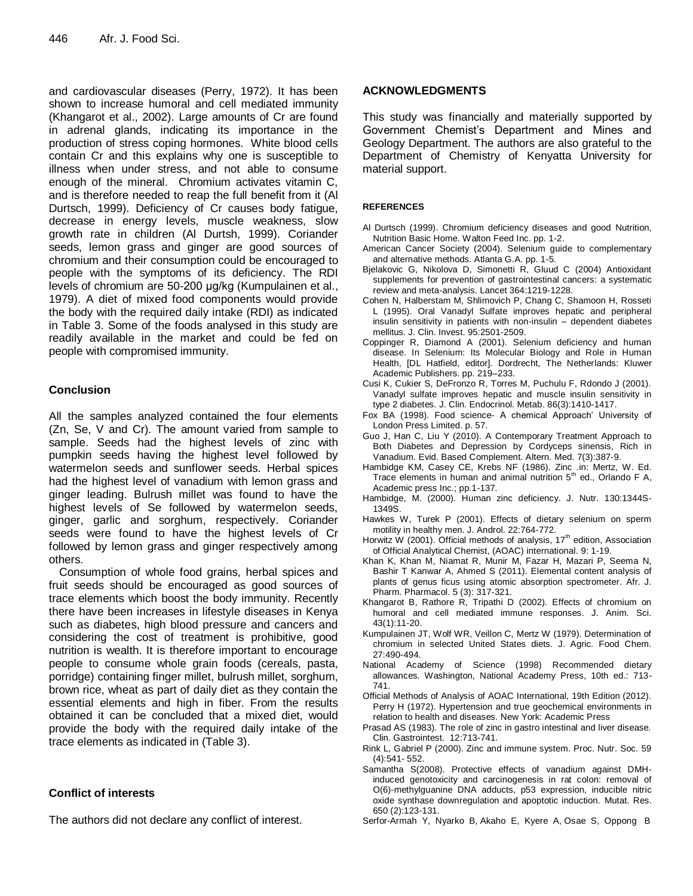and cardiovascular diseases (Perry, 1972). It has been shown to increase humoral and cell mediated immunity (Khangarot et al., 2002). Large amounts of Cr are found in adrenal glands, indicating its importance in the production of stress coping hormones. White blood cells contain Cr and this explains why one is susceptible to illness when under stress, and not able to consume enough of the mineral. Chromium activates vitamin C, and is therefore needed to reap the full benefit from it (Al Durtsch, 1999). Deficiency of Cr causes body fatigue, decrease in energy levels, muscle weakness, slow growth rate in children (Al Durtsh, 1999). Coriander seeds, lemon grass and ginger are good sources of chromium and their consumption could be encouraged to people with the symptoms of its deficiency. The RDI levels of chromium are 50-200 μg/kg (Kumpulainen et al., 1979). A diet of mixed food components would provide the body with the required daily intake (RDI) as indicated in Table 3. Some of the foods analysed in this study are readily available in the market and could be fed on people with compromised immunity.

## **Conclusion**

All the samples analyzed contained the four elements (Zn, Se, V and Cr). The amount varied from sample to sample. Seeds had the highest levels of zinc with pumpkin seeds having the highest level followed by watermelon seeds and sunflower seeds. Herbal spices had the highest level of vanadium with lemon grass and ginger leading. Bulrush millet was found to have the highest levels of Se followed by watermelon seeds, ginger, garlic and sorghum, respectively. Coriander seeds were found to have the highest levels of Cr followed by lemon grass and ginger respectively among others.

Consumption of whole food grains, herbal spices and fruit seeds should be encouraged as good sources of trace elements which boost the body immunity. Recently there have been increases in lifestyle diseases in Kenya such as diabetes, high blood pressure and cancers and considering the cost of treatment is prohibitive, good nutrition is wealth. It is therefore important to encourage people to consume whole grain foods (cereals, pasta, porridge) containing finger millet, bulrush millet, sorghum, brown rice, wheat as part of daily diet as they contain the essential elements and high in fiber. From the results obtained it can be concluded that a mixed diet, would provide the body with the required daily intake of the trace elements as indicated in (Table 3).

## **Conflict of interests**

The authors did not declare any conflict of interest.

## **ACKNOWLEDGMENTS**

This study was financially and materially supported by Government Chemist's Department and Mines and Geology Department. The authors are also grateful to the Department of Chemistry of Kenyatta University for material support.

### **REFERENCES**

- Al Durtsch (1999). Chromium deficiency diseases and good Nutrition, Nutrition Basic Home. Walton Feed Inc. pp. 1-2.
- American Cancer Society (2004). Selenium guide to complementary and alternative methods. Atlanta G.A. pp. 1-5.
- Bjelakovic G, Nikolova D, Simonetti R, Gluud C (2004) Antioxidant supplements for prevention of gastrointestinal cancers: a systematic review and meta-analysis. Lancet 364:1219-1228.
- Cohen N, Halberstam M, Shlimovich P, Chang C, Shamoon H, Rosseti L (1995). Oral Vanadyl Sulfate improves hepatic and peripheral insulin sensitivity in patients with non-insulin – dependent diabetes mellitus. J. Clin. Invest. 95:2501-2509.
- Coppinger R, Diamond A (2001). Selenium deficiency and human disease. In Selenium: Its Molecular Biology and Role in Human Health, [DL Hatfield, editor]. Dordrecht, The Netherlands: Kluwer Academic Publishers. pp. 219–233.
- Cusi K, Cukier S, DeFronzo R, Torres M, Puchulu F, Rdondo J (2001). Vanadyl sulfate improves hepatic and muscle insulin sensitivity in type 2 diabetes. J. Clin. Endocrinol. Metab. 86(3):1410-1417.
- Fox BA (1998). Food science- A chemical Approach' University of London Press Limited. p. 57.
- Guo J, Han C, Liu Y (2010). A Contemporary Treatment Approach to Both Diabetes and Depression by Cordyceps sinensis, Rich in Vanadium. Evid. Based Complement. Altern. Med. 7(3):387-9.
- Hambidge KM, Casey CE, Krebs NF (1986). Zinc .in: Mertz, W. Ed. Trace elements in human and animal nutrition  $5<sup>th</sup>$  ed., Orlando F A, Academic press Inc.; pp.1-137.
- Hambidge, M. (2000). Human zinc deficiency. J. Nutr. 130:1344S-1349S.
- Hawkes W, Turek P (2001). Effects of dietary selenium on sperm motility in healthy men. J. Androl. 22:764-772.
- Horwitz W (2001). Official methods of analysis,  $17<sup>th</sup>$  edition, Association of Official Analytical Chemist, (AOAC) international. 9: 1-19.
- Khan K, Khan M, Niamat R, Munir M, Fazar H, Mazari P, Seema N, Bashir T Kanwar A, Ahmed S (2011). Elemental content analysis of plants of genus ficus using atomic absorption spectrometer. Afr. J. Pharm. Pharmacol. 5 (3): 317-321.
- Khangarot B, Rathore R, Tripathi D (2002). Effects of chromium on humoral and cell mediated immune responses. J. Anim. Sci. 43(1):11-20.
- Kumpulainen JT, Wolf WR, Veillon C, Mertz W (1979). Determination of chromium in selected United States diets. J. Agric. Food Chem. 27:490-494.
- National Academy of Science (1998) Recommended dietary allowances. Washington, National Academy Press, 10th ed.: 713- 741.
- Official Methods of Analysis of AOAC International, 19th Edition (2012). Perry H (1972). Hypertension and true geochemical environments in relation to health and diseases. New York: Academic Press
- Prasad AS (1983). The role of zinc in gastro intestinal and liver disease. Clin. Gastrointest. 12:713-741.
- Rink L, Gabriel P (2000). Zinc and immune system. Proc. Nutr. Soc. 59 (4):541- 552.
- Samantha S(2008). Protective effects of vanadium against DMHinduced genotoxicity and carcinogenesis in rat colon: removal of O(6)-methylguanine DNA adducts, p53 expression, inducible nitric oxide synthase downregulation and apoptotic induction. Mutat. Res. 650 (2):123-131.
- Serfor-Armah Y, Nyarko B, Akaho E, Kyere A, Osae S, Oppong B